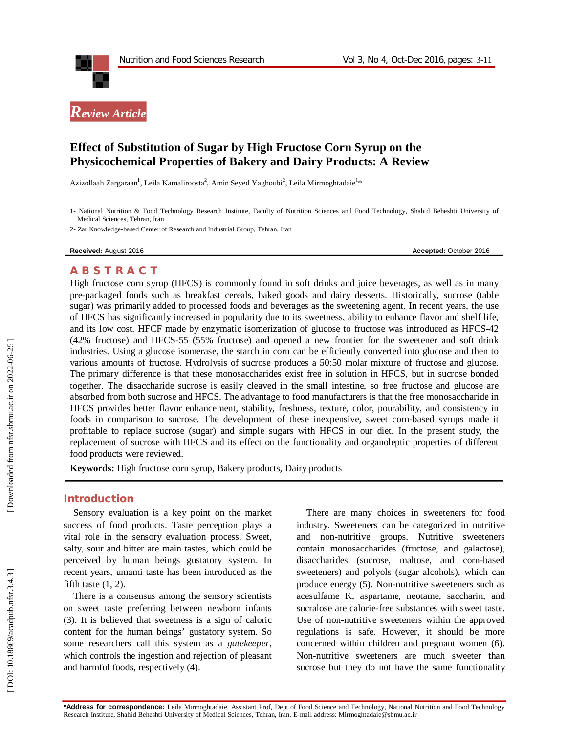



# **Effect of Substitution of Sugar by High Fructose Corn Syrup on the Physicochemical Properties of Bakery and Dairy Products: A Review**

Azizollaah Zargaraan<sup>1</sup>, Leila Kamaliroosta<sup>2</sup>, Amin Seyed Yaghoubi<sup>2</sup>, Leila Mirmoghtadaie<sup>1</sup>\*

1 - National Nutrition & Food Technology Research Institute, Faculty of Nutrition Sciences and Food Technology, Shahid Beheshti University of Medical Sciences, Tehran, Iran

2 - Zar Knowledge -based Center of Research and Industrial Group, Tehran, Iran

**Received:** August 201

6 **Accepted:** October 201 6

#### **A B S T R A C T**

High fructose corn syrup (HFCS) is commonly found in soft drinks and juice beverages, as well as in many pre -packaged foods such as breakfast cereals, baked goods and dairy desserts. Historically, sucrose (table sugar) was primarily added to processed foods and beverages as the sweetening agent. In recent years, the use of HFCS has significantly increased in popularity due to its sweetness, ability to enhance flavor and shelf life, and its low cost. HFCF made by enzymatic isomerization of glucose to fructose was introduced as HFCS -42 (42% fructose) and HFCS -55 (55% fructose) and opened a new frontier for the sweetener and soft drink industries. Using a glucose isomerase, the starch in corn can be efficiently converted into glucose and then to various amounts of fructose. Hydrolysis of sucrose produces a 50:50 molar mixture of fructose and glucose. The primary difference is that these monosaccharides exist free in solution in HFCS, but in sucrose bonded together. The disaccharide sucrose is easily cleaved in the small intestine, so free fructose and glucose are absorbed from both sucrose and HFCS. The advantage to food manufacturers is that the free monosaccharide in HFCS provides better flavor enhancement, stability, freshness, texture, color, pourability, and consistency in foods in comparison to sucrose. The development of these inexpensive, sweet corn -based syrups made it profitable to replace sucrose (sugar) and simple sugars with HFCS in our diet. In the present study, the replacement of sucrose with HFCS and its effect on the functionality and organoleptic properties of different food products were reviewed.

**Keywords:** High fructose corn syrup, Bakery products, Dairy products

### **Introduction**

Sensory evaluation is a key point on the market success of food products. Taste perception plays a vital role in the sensory evaluation process. Sweet, salty, sour and bitter are main tastes, which could be perceived by human beings gustatory system. In recent years, umami taste has been introduced as the fifth taste  $(1, 2)$ .

There is a consensus among the sensory scientists on sweet taste preferring between newborn infants (3). It is believed that sweetness is a sign of caloric content for the human beings' gustatory system. So some researchers call this system as a *gatekeeper*, which controls the ingestion and rejection of pleasant and harmful foods, respectively (4).

There are many choices in sweeteners for food industry. Sweeteners can be categorized in nutritive and non -nutritive groups. Nutritive sweeteners contain monosaccharides (fructose, and galactose), disaccharides (sucrose, maltose, and corn -based sweeteners) and polyols (sugar alcohols), which can produce energy (5). Non -nutritive sweeteners such as acesulfame K, aspartame, neotame, saccharin, and sucralose are calorie -free substances with sweet taste. Use of non -nutritive sweeteners within the approved regulations is safe. However, it should be more concerned within children and pregnant women (6). Non -nutritive sweeteners are much sweeter than sucrose but they do not have the same functionality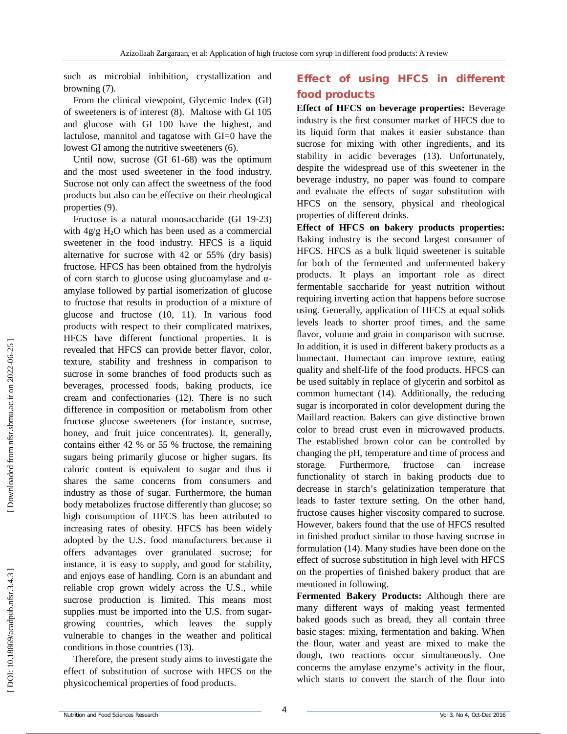such as microbial inhibition, crystallization and browning (7).

From the clinical viewpoint, Glycemic Index (GI) of sweeteners is of interest (8). Maltose with GI 105 and glucose with GI 100 have the highest, and lactulose, mannitol and tagatose with GI=0 have the lowest GI among the nutritive sweeteners (6).

Until now, sucrose (GI 61 -68) was the optimum and the most used sweetener in the food industry. Sucrose not only can affect the sweetness of the food products but also can be effective on their rheological properties (9).

Fructose is a natural monosaccharide (G I 19 -23) with 4g/g H <sup>2</sup>O which has been used as a commercial sweetener in the food industry. HFCS is a liquid alternative for sucrose with 42 or 55% (dry basis) fructose. HFCS has been obtained from the hydrolyis of corn starch to glucose using glucoamylase and α amylase followed by partial isomerization of glucose to fructose that results in production of a mixture of glucose and fructose (10, 11). In various food products with respect to their complicated matrixes, HFCS have different functional properties. It is revealed that HFCS can provide better flavor, color, texture, stability and freshness in comparison to sucrose in some branches of food products such as beverages, processed foods, baking products, ice cream and confectionaries (12). There is no such difference in composition or metabolism from other fructose glucose sweeteners (for instance, sucrose, honey, and fruit juice concentrates). It, generally, contains either 42 % or 55 % fructose, the remaining sugars being primarily glucose or higher sugars. Its caloric content is equivalent to sugar and thus it shares the same concerns from consumers and industry as those of sugar. Furthermore, the human body metabolizes fructose differently than glucose; so high consumption of HFCS has been attributed to increasing rates of obesity. HFCS has been widely adopted by the U.S. food manufacturers because it offers advantages over granulated sucrose; for instance, it is easy to supply, and good for stability, and enjoys ease of handling. Corn is an abundant and reliable crop grown widely across the U.S., while sucrose production is limited. This means most supplies must be imported into the U.S. from sugar growing countries, which leaves the supply vulnerable to changes in the weather and political conditions in those countries (13).

Therefore, the present study aims to investigate the effect of substitution of sucrose with HFCS on the physicochemical properties of food products.

# **Effect of using HFCS in different food products**

**Effect of HFCS on beverage properties:** Beverage industry is the first consumer market of HFCS due to its liquid form that makes it easier substance than sucrose for mixing with other ingredients, and its stability in acidic beverages (13). Unfortunately, despite the widespread use of this sweetener in the beverage industry, no paper was found to compare and evaluate the effects of sugar substitution with HFCS on the sensory, physical and rheological properties of different drinks.

**Effect of HFCS on bakery products properties:**  Baking industry is the second largest consumer of HFCS. HFCS as a bulk liquid sweetener is suitable for both of the fermented and unfermented bakery products. It plays an important role as direct fermentable saccharide for yeast nutrition without requiring inverting action that happens before sucrose using. Generally, application of HFCS at equal solids levels leads to shorter proof times, and the same flavor, volume and grain in comparison with sucrose. In addition, it is used in different bakery products as a humectant. Humectant can improve texture, eating quality and shelf-life of the food products. HFCS can be used suitably in replace of glycerin and sorbitol as common humectant (14). Additionally, the reducing sugar is incorporated in color development during the Maillard reaction. Bakers can give distinctive brown color to bread crust even in microwaved products. The established brown color can be controlled by changing the pH, temperature and time of process and storage. Furthermore, fructose can increase functionality of starch in baking products due to decrease in starch's gelatinization temperature that leads to faster texture setting. On the other hand, fructose causes higher viscosity compared to sucrose. However, bakers found that the use of HFCS resulted in finished product similar to those having sucrose in formulation (14). Many studies have been done on the effect of sucrose substitution in high level with HFCS on the properties of finished bakery product that are mentioned in following.

**Fermented Bakery Products:** Although there are many different ways of making yeast fermented baked goods such as bread, they all contain three basic stages: mixing, fermentation and baking. When the flour, water and yeast are mixed to make the dough, two reactions occur simultaneously. One concerns the amylase enzyme's activity in the flour, which starts to convert the starch of the flour into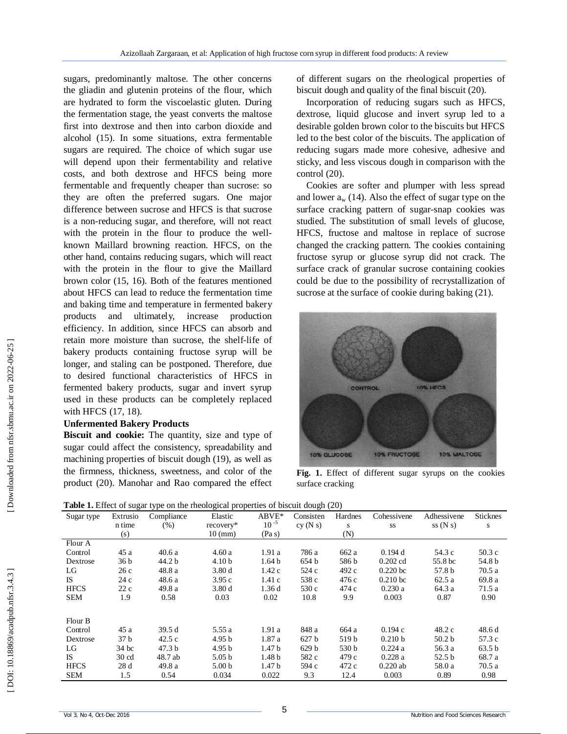sugars, predominantly maltose. The other concerns the gliadin and glutenin proteins of the flour, which are hydrated to form the viscoelastic gluten. During the fermentation stage, the yeast converts the maltose first into dextrose and then into carbon dioxide and alcohol (15). In some situations, extra fermentable sugars are required. The choice of which sugar use will depend upon their fermentability and relative costs, and both dextrose and HFCS being more fermentable and frequently cheaper than sucrose: so they are often the preferred sugars. One major difference between sucrose and HFCS is that sucrose is a non -reducing sugar, and therefore, will not react with the protein in the flour to produce the wellknown Maillard browning reaction. HFCS, on the other hand, contains reducing sugars, which will react with the protein in the flour to give the Maillard brown color (15, 16). Both of the features mentioned about HFCS can lead to reduce the fermentation time and baking time and temperature in fermented bakery products and ultimately, increase production efficiency. In addition, since HFCS can absorb and retain more moisture than sucrose, the shelf-life of bakery products containing fructose syrup will be longer, and staling can be postponed. Therefore, due to desired functional characteristics of HFCS in fermented bakery products, sugar and invert syrup used in these products can be completely replaced with HFCS (17, 18).

### **Unfermented Bakery Products**

**Biscuit and cookie:** The quantity, size and type of sugar could affect the consistency, spreadability and machining properties of biscuit dough (19), as well as the firmness, thickness, sweetness, and color of the product (20). Manohar and Rao compared the effect of different sugars on the rheological properties of biscuit dough and quality of the final biscuit (20).

Incorporation of reducing sugars such as HFCS, dextrose, liquid glucose and invert syrup led to a desirable golden brown color to the biscuits but HFCS led to the best color of the biscuits. The application of reducing sugars made more cohesive, adhesive and sticky, and less viscous dough in comparison with the control (20).

Cookies are softer and plumper with less spread and lower a <sup>w</sup> (14). Also the effect of sugar type on the surface cracking pattern of sugar -snap cookies was studied. The substitution of small levels of glucose, HFCS, fructose and maltose in replace of sucrose changed the cracking pattern. The cookies containing fructose syrup or glucose syrup did not crack. The surface crack of granular sucrose containing cookies could be due to the possibility of recrystallization of sucrose at the surface of cookie during baking  $(21)$ .



**Fig. 1.** Effect of different sugar syrups on the cookies surface cracking

|  | Table 1. Effect of sugar type on the rheological properties of biscuit dough (20) |
|--|-----------------------------------------------------------------------------------|
|  |                                                                                   |

| Sugar type  | Extrusio        | Compliance        | Elastic           | $ABVE*$           | Consisten        | Hardnes | Cohessivene | Adhessivene       | <b>Sticknes</b> |
|-------------|-----------------|-------------------|-------------------|-------------------|------------------|---------|-------------|-------------------|-----------------|
|             | n time          | (% )              | recovery*         | $10^{-5}$         | cy(Ns)           | S       | SS          | ss(Ns)            | S               |
|             | (s)             |                   | $10 \text{ (mm)}$ | (Pa s)            |                  | (N)     |             |                   |                 |
| Flour A     |                 |                   |                   |                   |                  |         |             |                   |                 |
| Control     | 45 a            | 40.6 a            | 4.60a             | 1.91 a            | 786 a            | 662 a   | 0.194d      | 54.3 c            | 50.3c           |
| Dextrose    | 36 b            | 44.2 b            | 4.10 <sub>b</sub> | 1.64 <sub>b</sub> | 654 b            | 586 b   | $0.202$ cd  | 55.8 bc           | 54.8 b          |
| LG          | 26 c            | 48.8 a            | 3.80d             | 1.42c             | 524 c            | 492 c   | $0.220$ bc  | 57.8 b            | 70.5a           |
| <b>IS</b>   | 24 c            | 48.6 a            | 3.95c             | 1.41c             | 538 c            | 476 c   | $0.210$ bc  | 62.5a             | 69.8 a          |
| <b>HFCS</b> | 22c             | 49.8 a            | 3.80d             | 1.36d             | 530 c            | 474 c   | 0.230a      | 64.3 a            | 71.5 a          |
| <b>SEM</b>  | 1.9             | 0.58              | 0.03              | 0.02              | 10.8             | 9.9     | 0.003       | 0.87              | 0.90            |
| Flour B     |                 |                   |                   |                   |                  |         |             |                   |                 |
| Control     | 45 a            | 39.5 d            | 5.55a             | 1.91a             | 848 a            | 664 a   | 0.194c      | 48.2 c            | 48.6 d          |
| Dextrose    | 37 b            | 42.5c             | 4.95 <sub>b</sub> | 1.87 a            | 627 <sub>b</sub> | 519 b   | 0.210 b     | 50.2 <sub>b</sub> | 57.3 c          |
| LG          | 34 bc           | 47.3 <sub>b</sub> | 4.95 <sub>b</sub> | 1.47 b            | 629 b            | 530 b   | 0.224a      | 56.3 a            | 63.5 b          |
| <b>IS</b>   | $30 \text{ cd}$ | 48.7 ab           | 5.05 <sub>b</sub> | 1.48 <sub>b</sub> | 582 c            | 479 c   | 0.228a      | 52.5 b            | 68.7 a          |
| <b>HFCS</b> | 28d             | 49.8 a            | 5.00 <sub>b</sub> | 1.47 b            | 594 c            | 472 c   | $0.220$ ab  | 58.0 a            | 70.5 a          |
| <b>SEM</b>  | 1.5             | 0.54              | 0.034             | 0.022             | 9.3              | 12.4    | 0.003       | 0.89              | 0.98            |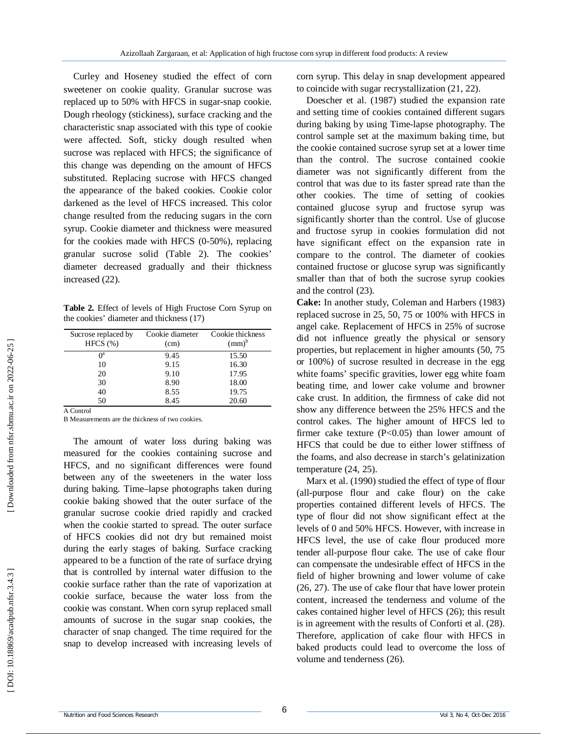Curley and Hoseney studied the effect of corn sweetener on cookie quality. Granular sucrose was replaced up to 50% with HFCS in sugar -snap cookie. Dough rheology (stickiness), surface cracking and the characteristic snap associated with this type of cookie were affected. Soft, sticky dough resulted when sucrose was replaced with HFCS; the significance of this change was depending on the amount of HFCS substituted. Replacing sucrose with HFCS changed the appearance of the baked cookies. Cookie color darkened as the level of HFCS increased. This color change resulted from the reducing sugars in the corn syrup. Cookie diameter and thickness were measured for the cookies made with HFCS (0 -50%), replacing granular sucrose solid (Table 2). The cookies' diameter decreased gradually and their thickness increased (22).

**Table 2.** Effect of levels of High Fructose Corn Syrup on the cookies' diameter and thickness (17)

| Cookie diameter<br>(cm) | Cookie thickness<br>$(mm)^b$ |
|-------------------------|------------------------------|
| 9.45                    | 15.50                        |
| 9.15                    | 16.30                        |
| 9.10                    | 17.95                        |
| 8.90                    | 18.00                        |
| 8.55                    | 19.75                        |
| 8.45                    | 20.60                        |
|                         |                              |

A Control

B Measurements are the thickness of two cookies.

The amount of water loss during baking was measured for the cookies containing sucrose and HFCS, and no significant differences were found between any of the sweeteners in the water loss during baking. Time –lapse photographs taken during cookie baking showed that the outer surface of the granular sucrose cookie dried rapidly and cracked when the cookie started to spread. The outer surface of HFCS cookies did not dry but remained moist during the early stages of baking. Surface cracking appeared to be a function of the rate of surface drying that is controlled by internal water diffusion to the cookie surface rather than the rate of vaporization at cookie surface, because the water loss from the cookie was constant. When corn syrup replaced small amounts of sucrose in the sugar snap cookies, the character of snap changed. The time required for the snap to develop increased with increasing levels of

corn syrup. This delay in snap development appeared to coincide with sugar recrystallization (21, 22).

Doescher et al. (1987) studied the expansion rate and setting time of cookies contained different sugars during baking by using Time -lapse photography. The control sample set at the maximum baking time, but the cookie contained sucrose syrup set at a lower time than the control. The sucrose contained cookie diameter was not significantly different from the control that was due to its faster spread rate than the other cookies. The time of setting of cookies contained glucose syrup and fructose syrup was significantly shorter than the control. Use of glucose and fructose syrup in cookies formulation did not have significant effect on the expansion rate in compare to the control. The diameter of cookies contained fructose or glucose syrup was significantly smaller than that of both the sucrose syrup cookies and the control (23).

**Cake:** In another study, Coleman and Harbers (1983) replaced sucrose in 25, 50, 75 or 100% with HFCS in angel cake. Replacement of HFCS in 25% of sucrose did not influence greatly the physical or sensory properties, but replacement in higher amounts (50, 75 or 100%) of sucrose resulted in decrease in the egg white foams' specific gravities, lower egg white foam beating time, and lower cake volume and browner cake crust. In addition, the firmness of cake did not show any difference between the 25% HFCS and the control cakes. The higher amount of HFCS led to firmer cake texture (P<0.05) than lower amount of HFCS that could be due to either lower stiffness of the foams, and also decrease in starch's gelatinization temperature (24, 25).

Marx et al. (1990) studied the effect of type of flour (all -purpose flour and cake flour) on the cake properties contained different levels of HFCS. The type of flour did not show significant effect at the levels of 0 and 50% HFCS. However, with increase in HFCS level, the use of cake flour produced more tender all -purpose flour cake. The use of cake flour can compensate the undesirable effect of HFCS in the field of higher browning and lower volume of cake (26, 27). The use of cake flour that have lower protein content, increased the tenderness and volume of the cakes contained higher level of HFCS (26); this result is in agreement with the results of Conforti et al. (28). Therefore, application of cake flour with HFCS in baked products could lead to overcome the loss of volume and tenderness (26).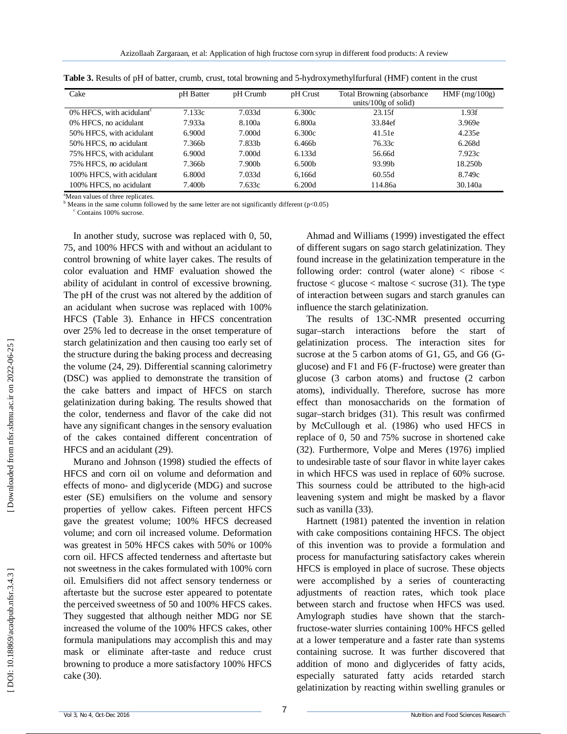| Cake                                    | pH Batter | pH Crumb | pH Crust           | Total Browning (absorbance)<br>units/100 $g$ of solid) | $HMF$ (mg/100g)     |
|-----------------------------------------|-----------|----------|--------------------|--------------------------------------------------------|---------------------|
| $0\%$ HFCS, with acidulant <sup>c</sup> | 7.133c    | 7.033d   | 6.300c             | 23.15f                                                 | 1.93f               |
| 0% HFCS, no acidulant                   | 7.933a    | 8.100a   | 6.800a             | 33.84ef                                                | 3.969e              |
| 50% HFCS, with acidulant                | 6.900d    | 7.000d   | 6.300c             | 41.51e                                                 | 4.235e              |
| 50% HFCS, no acidulant                  | 7.366b    | 7.833b   | 6.466b             | 76.33c                                                 | 6.268d              |
| 75% HFCS, with acidulant                | 6.900d    | 7.000d   | 6.133d             | 56.66d                                                 | 7.923c              |
| 75% HFCS, no acidulant                  | 7.366b    | 7.900b   | 6.500 <sub>b</sub> | 93.99b                                                 | 18.250 <sub>h</sub> |
| 100% HFCS, with acidulant               | 6.800d    | 7.033d   | 6.166d             | 60.55d                                                 | 8.749c              |
| 100% HFCS, no acidulant                 | 7.400b    | 7.633c   | 6.200d             | 114.86a                                                | 30.140a             |

| Table 3. Results of pH of batter, crumb, crust, total browning and 5-hydroxymethylfurfural (HMF) content in the crust |  |  |  |  |  |
|-----------------------------------------------------------------------------------------------------------------------|--|--|--|--|--|
|                                                                                                                       |  |  |  |  |  |

<sup>a</sup>Mean values of three replicates.<br><sup>b</sup> Means in the same column followed by the same letter are not significantly different (p<0.05) <sup>c</sup> Contains 100% sucrose.

In another study, sucrose was replaced with 0, 50, 75, and 100% HFCS with and without an acidulant to control browning of white layer cakes. The results of color evaluation and HMF evaluation showed the ability of acidulant in control of excessive browning. The pH of the crust was not altered by the addition of an acidulant when sucrose was replaced with 100% HFCS (Table 3). Enhance in HFCS concentration over 25% led to decrease in the onset temperature of starch gelatinization and then causing too early set of the structure during the baking process and decreasing the volume (24, 29). Differential scanning calorimetry (DSC) was applied to demonstrate the transition of the cake batters and impact of HFCS on starch gelatinization during baking. The results showed that the color, tenderness and flavor of the cake did not have any significant changes in the sensory evaluation of the cakes contained different concentration of HFCS and an acidulant (29).

Murano and Johnson (1998) studied the effects of HFCS and corn oil on volume and deformation and effects of mono - and diglyceride (MDG) and sucrose ester (SE) emulsifiers on the volume and sensory properties of yellow cakes. Fifteen percent HFCS gave the greatest volume; 100% HFCS decreased volume; and corn oil increased volume. Deformation was greatest in 50% HFCS cakes with 50% or 100% corn oil. HFCS affected tenderness and aftertaste but not sweetness in the cakes formulated with 100% corn oil. Emulsifiers did not affect sensory tenderness or aftertaste but the sucrose ester appeared to potentate the perceived sweetness of 50 and 100% HFCS cakes. They suggested that although neither MDG nor SE increased the volume of the 100% HFCS cakes, other formula manipulations may accomplish this and may mask or eliminate after -taste and reduce crust browning to produce a more satisfactory 100% HFCS cake (30).

Ahmad and Williams (1999) investigated the effect of different sugars on sago starch gelatinization. They found increase in the gelatinization temperature in the following order: control (water alone)  $\langle$  ribose  $\langle$ fructose  $\lt$  glucose  $\lt$  maltose  $\lt$  sucrose (31). The type of interaction between sugars and starch granules can influence the starch gelatinization.

The results of 13C -NMR presented occurring sugar–starch interactions before the start of gelatinization process. The interaction sites for sucrose at the 5 carbon atoms of G1, G5, and G6 (Gglucose) and F1 and F6 (F -fructose) were greater than glucose (3 carbon atoms) and fructose (2 carbon atoms), individually. Therefore, sucrose has more effect than monosaccharids on the formation of sugar–starch bridges (31). This result was confirmed by McCullough et al. (1986) who used HFCS in replace of 0, 50 and 75% sucrose in shortened cake (32). Furthermore, Volpe and Meres (1976) implied to undesirable taste of sour flavor in white layer cakes in which HFCS was used in replace of 60% sucrose. This sourness could be attributed to the high -acid leavening system and might be masked by a flavor such as vanilla (33) .

Hartnett (1981) patented the invention in relation with cake compositions containing HFCS. The object of this invention was to provide a formulation and process for manufacturing satisfactory cakes wherein HFCS is employed in place of sucrose. These objects were accomplished by a series of counteracting adjustments of reaction rates, which took place between starch and fructose when HFCS was used. Amylograph studies have shown that the starch fructose -water slurries containing 100% HFCS gelled at a lower temperature and a faster rate than systems containing sucrose. It was further discovered that addition of mono and diglycerides of fatty acids, especially saturated fatty acids retarded starch gelatinization by reacting within swelling granules or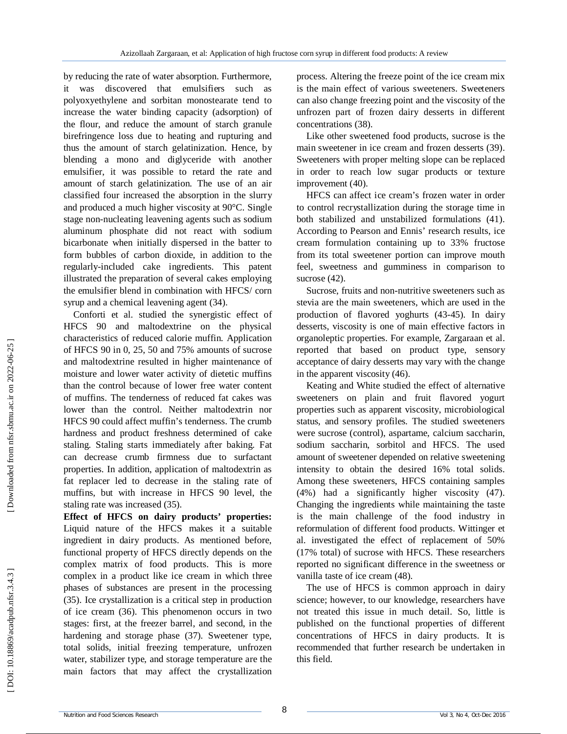by reducing the rate of water absorption. Furthermore, it was discovered that emulsifiers such polyoxyethylene and sorbitan monostearate tend to increase the water binding capacity (adsorption) of the flour, and reduce the amount of starch granule birefringence loss due to heating and rupturing and thus the amount of starch gelatinization. Hence, by blending a mono and diglyceride with another emulsifier, it was possible to retard the rate and amount of starch gelatinization. The use of an air classified four increased the absorption in the slurry and produced a much higher viscosity at 90°C. Single stage non -nucleating leavening agents such as sodium aluminum phosphate did not react with sodium bicarbonate when initially dispersed in the batter to form bubbles of carbon dioxide, in addition to the regularly -included cake ingredients. This patent illustrated the preparation of several cakes employing the emulsifier blend in combination with HFCS/ corn syrup and a chemical leavening agent (34).

Conforti et al. studied the synergistic effect of HFCS 90 and maltodextrine on the physical characteristics of reduced calorie muffin. Application of HFCS 90 in 0, 25, 50 and 75% amounts of sucrose and maltodextrine resulted in higher maintenance of moisture and lower water activity of dietetic muffins than the control because of lower free water content of muffins. The tenderness of reduced fat cakes was lower than the control. Neither maltodextrin nor HFCS 90 could affect muffin's tenderness. The crumb hardness and product freshness determined of cake staling. Staling starts immediately after baking. Fat can decrease crumb firmness due to surfactant properties. In addition, application of maltodextrin as fat replacer led to decrease in the staling rate of muffins, but with increase in HFCS 90 level, the staling rate was increased (35).

**Effect of HFCS on dairy products' properties:**  Liquid nature of the HFCS makes it a suitable ingredient in dairy products. As mentioned before, functional property of HFCS directly depends on the complex matrix of food products. This is more complex in a product like ice cream in which three phases of substances are present in the processing (35). Ice crystallization is a critical step in production of ice cream (36). This phenomenon occurs in two stages: first, at the freezer barrel, and second, in the hardening and storage phase (37). Sweetener type, total solids, initial freezing temperature, unfrozen water, stabilizer type, and storage temperature are the main factors that may affect the crystallization process. Altering the freeze point of the ice cream mix is the main effect of various sweeteners. Sweeteners can also change freezing point and the viscosity of the unfrozen part of frozen dairy desserts in different concentrations (38).

Like other sweetened food products, sucrose is the main sweetener in ice cream and frozen desserts (39). Sweeteners with proper melting slope can be replaced in order to reach low sugar products or texture improvement (40).

HFCS can affect ice cream's frozen water in order to control recrystallization during the storage time in both stabilized and unstabilized formulations (41). According to Pearson and Ennis' research results, ice cream formulation containing up to 33% fructose from its total sweetener portion can improve mouth feel, sweetness and gumminess in comparison to sucrose  $(42)$ .

Sucrose, fruits and non -nutritive sweeteners such as stevia are the main sweeteners, which are used in the production of flavored yoghurts (43 -45). In dairy desserts, viscosity is one of main effective factors in organoleptic properties. For example, Zargaraan et al. reported that based on product type, sensory acceptance of dairy desserts may vary with the change in the apparent viscosity (46).

Keating and White studied the effect of alternative sweeteners on plain and fruit flavored yogurt properties such as apparent viscosity, microbiological status, and sensory profiles. The studied sweeteners were sucrose (control), aspartame, calcium saccharin, sodium saccharin, sorbitol and HFCS. The used amount of sweetener depended on relative sweetening intensity to obtain the desired 16% total solids. Among these sweeteners, HFCS containing samples (4%) had a significantly higher viscosity (47). Changing the ingredients while maintaining the taste is the main challenge of the food industry in reformulation of different food products. Wittinger et al. investigated the effect of replacement of 50% (17% total) of sucrose with HFCS. These researchers reported no significant difference in the sweetness or vanilla taste of ice cream (48).

The use of HFCS is common approach in dairy science; however, to our knowledge, researchers have not treated this issue in much detail. So, little is published on the functional properties of different concentrations of HFCS in dairy products. It is recommended that further research be undertaken in this field.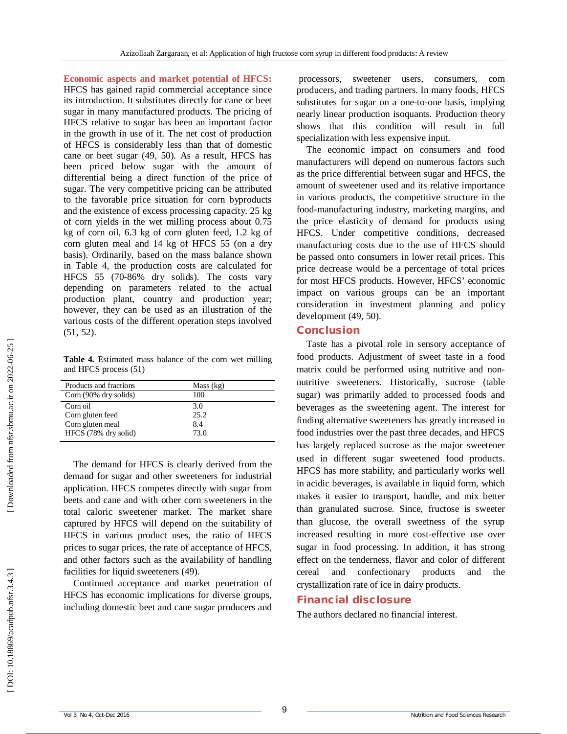**Economic aspects and market potential of HFCS:**  HFCS has gained rapid commercial acceptance since its introduction. It substitutes directly for cane or beet sugar in many manufactured products. The pricing of HFCS relative to sugar has been an important factor in the growth in use of it. The net cost of production of HFCS is considerably less than that of domestic cane or beet sugar (49, 50). As a result, HFCS has been priced below sugar with the amount of differential being a direct function of the price of sugar. The very competitive pricing can be attributed to the favorable price situation for corn byproducts and the existence of excess processing capacity. 25 kg of corn yields in the wet milling process about 0.75 kg of corn oil, 6.3 kg of corn gluten feed, 1.2 kg of corn gluten meal and 14 kg of HFCS 55 (on a dry basis). Ordinarily, based on the mass balance shown in Table 4, the production costs are calculated for HFCS 55 (70 -86% dry solids). The costs vary depending on parameters related to the actual production plant, country and production year; however, they can be used as an illustration of the various costs of the different operation steps involved (51, 52).

**Table 4.** Estimated mass balance of the corn wet milling and HFCS process (51)

| Products and fractions | Mass (kg) |  |
|------------------------|-----------|--|
| Corn (90% dry solids)  | 100       |  |
| Corn oil               | 3.0       |  |
| Corn gluten feed       | 25.2      |  |
| Corn gluten meal       | 8.4       |  |
| HFCS (78% dry solid)   | 73.0      |  |

The demand for HFCS is clearly derived from the demand for sugar and other sweeteners for industrial application. HFCS competes directly with sugar from beets and cane and with other corn sweeteners in the total caloric sweetener market. The market share captured by HFCS will depend on the suitability of HFCS in various product uses, the ratio of HFCS prices to sugar prices, the rate of acceptance of HFCS, and other factors such as the availability of handling facilities for liquid sweeteners (49).

Continued acceptance and market penetration of HFCS has economic implications for diverse groups, including domestic beet and cane sugar producers and

processors, sweetener users, consumers, com producers, and trading partners. In many foods, HFCS substitutes for sugar on a one-to-one basis, implying nearly linear production isoquants. Production theory shows that this condition will result in full specialization with less expensive input.

The economic impact on consumers and food manufacturers will depend on numerous factors such as the price differential between sugar and HFCS, the amount of sweetener used and its relative importance in various products, the competitive structure in the food -manufacturing industry, marketing margins, and the price elasticity of demand for products using HFCS. Under competitive conditions, decreased manufacturing costs due to the use of HFCS should be passed onto consumers in lower retail prices. This price decrease would be a percentage of total prices for most HFCS products. However, HFCS' economic impact on various groups can be an important consideration in investment planning and policy development (49, 50).

## **Conclusion**

Taste has a pivotal role in sensory acceptance of food products. Adjustment of sweet taste in a food matrix could be performed using nutritive and non nutritive sweeteners. Historically, sucrose (table sugar) was primarily added to processed foods and beverages as the sweetening agent. The interest for finding alternative sweeteners has greatly increased in food industries over the past three decades, and HFCS has largely replaced sucrose as the major sweetener used in different sugar sweetened food products. HFCS has more stability, and particularly works well in acidic beverages, is available in liquid form, which makes it easier to transport, handle, and mix better than granulated sucrose. Since, fructose is sweeter than glucose, the overall sweetness of the syrup increased resulting in more cost -effective use over sugar in food processing. In addition, it has strong effect on the tenderness, flavor and color of different cereal and confectionary products and the crystallization rate of ice in dairy products.

#### **Financial disclosure**

The authors declared no financial interest.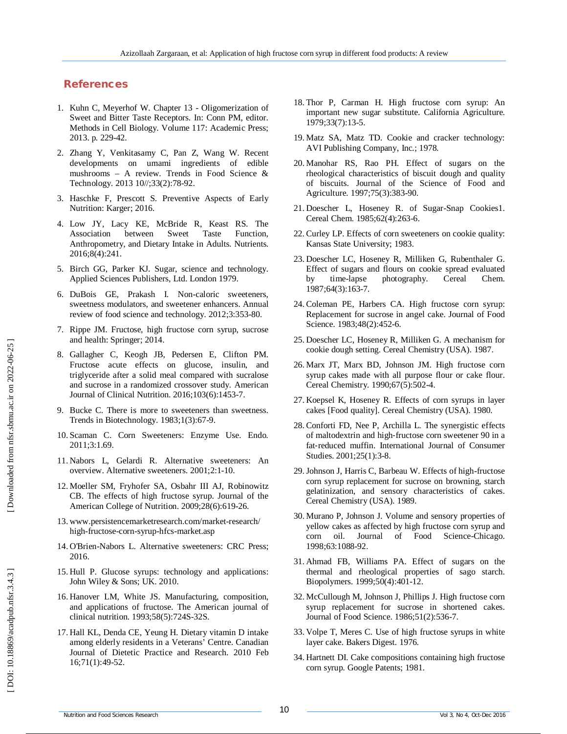## **References**

- 1 . Kuhn C, Meyerhof W. Chapter 13 Oligomerization of Sweet and Bitter Taste Receptors. In: Conn PM, editor. Methods in Cell Biology. Volume 117: Academic Press; 2013. p. 229 -42.
- 2 . Zhang Y, Venkitasamy C, Pan Z, Wang W. Recent developments on umami ingredients of edible mushrooms – A review. Trends in Food Science & Technology. 2013 10//;33(2):78 -92.
- 3 . Haschke F, Prescott S. Preventive Aspects of Early Nutrition: Karger; 2016.
- 4 . Low JY, Lacy KE, McBride R, Keast RS. The Association between Sweet Taste Function, Anthropometry, and Dietary Intake in Adults. Nutrients. 2016;8(4):241.
- 5 . Birch GG, Parker KJ. Sugar, science and technology. Applied Sciences Publishers, Ltd. London 1979.
- 6 . DuBois GE, Prakash I. Non -caloric sweeteners, sweetness modulators, and sweetener enhancers. Annual review of food science and technology. 2012;3:353 -80.
- 7 . Rippe JM. Fructose, high fructose corn syrup, sucrose and health: Springer; 2014.
- 8 . Gallagher C, Keogh JB, Pedersen E, Clifton PM. Fructose acute effects on glucose, insulin, and triglyceride after a solid meal compared with sucralose and sucrose in a randomized crossover study. American Journal of Clinical Nutrition. 2016;103(6):1453 -7.
- 9 . Bucke C. There is more to sweeteners than sweetness. Trends in Biotechnology. 1983;1(3):67 -9.
- 10 . Scaman C. Corn Sweeteners: Enzyme Use. Endo. 2011;3:1.69.
- 11 . Nabors L, Gelardi R. Alternative sweeteners: An overview. Alternative sweeteners. 2001;2:1 -10.
- 12 . Moeller SM, Fryhofer SA, Osbahr III AJ, Robinowitz CB. The effects of high fructose syrup. Journal of the American College of Nutrition. 2009;28(6):619 -26.
- 13 . www.persistencemarketresearch.com/market -research/ high -fructose -corn -syrup -hfcs -market.asp
- 14 . O'Brien -Nabors L. Alternative sweeteners: CRC Press; 2016.
- 15 . Hull P. Glucose syrups: technology and applications: John Wiley & Sons; UK. 2010.
- 16 . Hanover LM, White JS. Manufacturing, composition, and applications of fructose. The American journal of clinical nutrition. 1993;58(5):724S -32S.
- 17 . Hall KL, Denda CE, Yeung H. Dietary vitamin D intake among elderly residents in a Veterans' Centre. Canadian Journal of Dietetic Practice and Research. 2010 Feb 16;71(1):49 -52.
- 18 . Thor P, Carman H. High fructose corn syrup: An important new sugar substitute. California Agriculture. 1979;33(7):13 -5.
- 19 . Matz SA, Matz TD. Cookie and cracker technology: AVI Publishing Company, Inc.; 1978.
- 20 . Manohar RS, Rao PH. Effect of sugars on the rheological characteristics of biscuit dough and quality of biscuits. Journal of the Science of Food and Agriculture. 1997;75(3):383 -90.
- 21 . Doescher L, Hoseney R. of Sugar -Snap Cookies1. Cereal Chem. 1985;62(4):263 -6.
- 22 . Curley LP. Effects of corn sweeteners on cookie quality: Kansas State University; 1983.
- 23 . Doescher LC, Hoseney R, Milliken G, Rubenthaler G. Effect of sugars and flours on cookie spread evaluated by time-lapse photography. Cereal Chem. 1987;64(3):163 -7.
- 24 . Coleman PE, Harbers CA. High fructose corn syrup: Replacement for sucrose in angel cake. Journal of Food Science. 1983;48(2):452 -6.
- 25 . Doescher LC, Hoseney R, Milliken G. A mechanism for cookie dough setting. Cereal Chemistry (USA). 1987.
- 26 . Marx JT, Marx BD, Johnson JM. High fructose corn syrup cakes made with all purpose flour or cake flour. Cereal Chemistry. 1990;67(5):502 -4.
- 27 . Koepsel K, Hoseney R. Effects of corn syrups in layer cakes [Food quality]. Cereal Chemistry (USA). 1980.
- 28 . Conforti FD, Nee P, Archilla L. The synergistic effects of maltodextrin and high ‐fructose corn sweetener 90 in a fat ‐reduced muffin. International Journal of Consumer Studies. 2001;25(1):3 -8.
- 29 .Johnson J, Harris C, Barbeau W. Effects of high -fructose corn syrup replacement for sucrose on browning, starch gelatinization, and sensory characteristics of cakes. Cereal Chemistry (USA). 1989.
- 30 . Murano P, Johnson J. Volume and sensory properties of yellow cakes as affected by high fructose corn syrup and corn oil. Journal of Food Science -Chicago. 1998;63:1088 -92.
- 31 . Ahmad FB, Williams PA. Effect of sugars on the thermal and rheological properties of sago starch. Biopolymers. 1999;50(4):401 -12.
- 32 . McCullough M, Johnson J, Phillips J. High fructose corn syrup replacement for sucrose in shortened cakes. Journal of Food Science. 1986;51(2):536 -7.
- 33 . Volpe T, Meres C. Use of high fructose syrups in white layer cake. Bakers Digest. 1976.
- 34 . Hartnett DI. Cake compositions containing high fructose corn syrup. Google Patents; 1981.

DOI: 10.18869/acadpub.nfsr.3.4.3